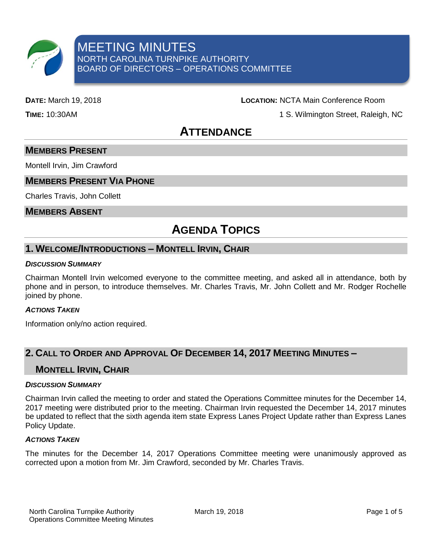

**DATE:** March 19, 2018 **LOCATION:** NCTA Main Conference Room

**TIME:** 10:30AM 1 S. Wilmington Street, Raleigh, NC

# **ATTENDANCE**

### **MEMBERS PRESENT**

Montell Irvin, Jim Crawford

## **MEMBERS PRESENT VIA PHONE**

Charles Travis, John Collett

**MEMBERS ABSENT**

# **AGENDA TOPICS**

## **1. WELCOME/INTRODUCTIONS – MONTELL IRVIN, CHAIR**

#### *DISCUSSION SUMMARY*

Chairman Montell Irvin welcomed everyone to the committee meeting, and asked all in attendance, both by phone and in person, to introduce themselves. Mr. Charles Travis, Mr. John Collett and Mr. Rodger Rochelle joined by phone.

### *ACTIONS TAKEN*

Information only/no action required.

# **2. CALL TO ORDER AND APPROVAL OF DECEMBER 14, 2017 MEETING MINUTES –**

# **MONTELL IRVIN, CHAIR**

#### *DISCUSSION SUMMARY*

Chairman Irvin called the meeting to order and stated the Operations Committee minutes for the December 14, 2017 meeting were distributed prior to the meeting. Chairman Irvin requested the December 14, 2017 minutes be updated to reflect that the sixth agenda item state Express Lanes Project Update rather than Express Lanes Policy Update.

### *ACTIONS TAKEN*

The minutes for the December 14, 2017 Operations Committee meeting were unanimously approved as corrected upon a motion from Mr. Jim Crawford, seconded by Mr. Charles Travis.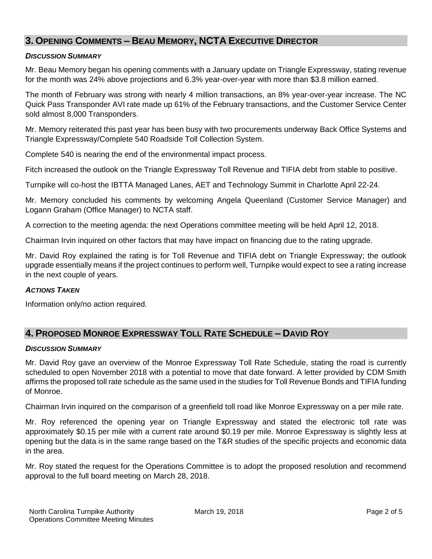# **3. OPENING COMMENTS – BEAU MEMORY, NCTA EXECUTIVE DIRECTOR**

### *DISCUSSION SUMMARY*

Mr. Beau Memory began his opening comments with a January update on Triangle Expressway, stating revenue for the month was 24% above projections and 6.3% year-over-year with more than \$3.8 million earned.

The month of February was strong with nearly 4 million transactions, an 8% year-over-year increase. The NC Quick Pass Transponder AVI rate made up 61% of the February transactions, and the Customer Service Center sold almost 8,000 Transponders.

Mr. Memory reiterated this past year has been busy with two procurements underway Back Office Systems and Triangle Expressway/Complete 540 Roadside Toll Collection System.

Complete 540 is nearing the end of the environmental impact process.

Fitch increased the outlook on the Triangle Expressway Toll Revenue and TIFIA debt from stable to positive.

Turnpike will co-host the IBTTA Managed Lanes, AET and Technology Summit in Charlotte April 22-24.

Mr. Memory concluded his comments by welcoming Angela Queenland (Customer Service Manager) and Logann Graham (Office Manager) to NCTA staff.

A correction to the meeting agenda: the next Operations committee meeting will be held April 12, 2018.

Chairman Irvin inquired on other factors that may have impact on financing due to the rating upgrade.

Mr. David Roy explained the rating is for Toll Revenue and TIFIA debt on Triangle Expressway; the outlook upgrade essentially means if the project continues to perform well, Turnpike would expect to see a rating increase in the next couple of years.

### *ACTIONS TAKEN*

Information only/no action required.

# **4. PROPOSED MONROE EXPRESSWAY TOLL RATE SCHEDULE – DAVID ROY**

### *DISCUSSION SUMMARY*

Mr. David Roy gave an overview of the Monroe Expressway Toll Rate Schedule, stating the road is currently scheduled to open November 2018 with a potential to move that date forward. A letter provided by CDM Smith affirms the proposed toll rate schedule as the same used in the studies for Toll Revenue Bonds and TIFIA funding of Monroe.

Chairman Irvin inquired on the comparison of a greenfield toll road like Monroe Expressway on a per mile rate.

Mr. Roy referenced the opening year on Triangle Expressway and stated the electronic toll rate was approximately \$0.15 per mile with a current rate around \$0.19 per mile. Monroe Expressway is slightly less at opening but the data is in the same range based on the T&R studies of the specific projects and economic data in the area.

Mr. Roy stated the request for the Operations Committee is to adopt the proposed resolution and recommend approval to the full board meeting on March 28, 2018.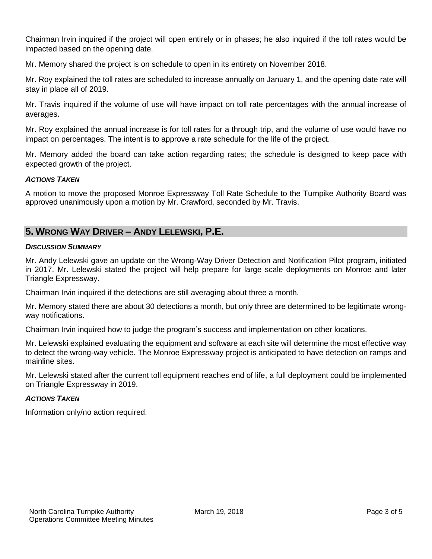Chairman Irvin inquired if the project will open entirely or in phases; he also inquired if the toll rates would be impacted based on the opening date.

Mr. Memory shared the project is on schedule to open in its entirety on November 2018.

Mr. Roy explained the toll rates are scheduled to increase annually on January 1, and the opening date rate will stay in place all of 2019.

Mr. Travis inquired if the volume of use will have impact on toll rate percentages with the annual increase of averages.

Mr. Roy explained the annual increase is for toll rates for a through trip, and the volume of use would have no impact on percentages. The intent is to approve a rate schedule for the life of the project.

Mr. Memory added the board can take action regarding rates; the schedule is designed to keep pace with expected growth of the project.

## *ACTIONS TAKEN*

A motion to move the proposed Monroe Expressway Toll Rate Schedule to the Turnpike Authority Board was approved unanimously upon a motion by Mr. Crawford, seconded by Mr. Travis.

# **5. WRONG WAY DRIVER – ANDY LELEWSKI, P.E.**

### *DISCUSSION SUMMARY*

Mr. Andy Lelewski gave an update on the Wrong-Way Driver Detection and Notification Pilot program, initiated in 2017. Mr. Lelewski stated the project will help prepare for large scale deployments on Monroe and later Triangle Expressway.

Chairman Irvin inquired if the detections are still averaging about three a month.

Mr. Memory stated there are about 30 detections a month, but only three are determined to be legitimate wrongway notifications.

Chairman Irvin inquired how to judge the program's success and implementation on other locations.

Mr. Lelewski explained evaluating the equipment and software at each site will determine the most effective way to detect the wrong-way vehicle. The Monroe Expressway project is anticipated to have detection on ramps and mainline sites.

Mr. Lelewski stated after the current toll equipment reaches end of life, a full deployment could be implemented on Triangle Expressway in 2019.

### *ACTIONS TAKEN*

Information only/no action required.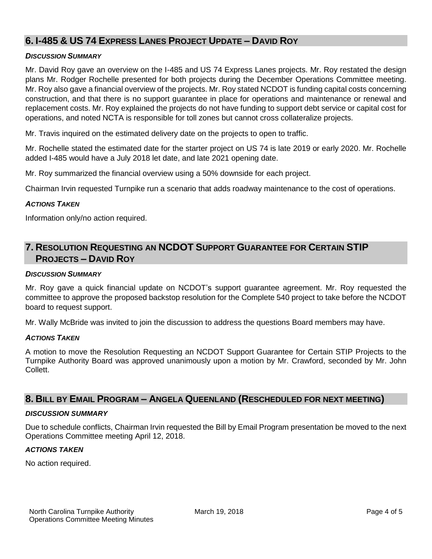# **6. I-485 & US 74 EXPRESS LANES PROJECT UPDATE – DAVID ROY**

### *DISCUSSION SUMMARY*

Mr. David Roy gave an overview on the I-485 and US 74 Express Lanes projects. Mr. Roy restated the design plans Mr. Rodger Rochelle presented for both projects during the December Operations Committee meeting. Mr. Roy also gave a financial overview of the projects. Mr. Roy stated NCDOT is funding capital costs concerning construction, and that there is no support guarantee in place for operations and maintenance or renewal and replacement costs. Mr. Roy explained the projects do not have funding to support debt service or capital cost for operations, and noted NCTA is responsible for toll zones but cannot cross collateralize projects.

Mr. Travis inquired on the estimated delivery date on the projects to open to traffic.

Mr. Rochelle stated the estimated date for the starter project on US 74 is late 2019 or early 2020. Mr. Rochelle added I-485 would have a July 2018 let date, and late 2021 opening date.

Mr. Roy summarized the financial overview using a 50% downside for each project.

Chairman Irvin requested Turnpike run a scenario that adds roadway maintenance to the cost of operations.

### *ACTIONS TAKEN*

Information only/no action required.

# **7. RESOLUTION REQUESTING AN NCDOT SUPPORT GUARANTEE FOR CERTAIN STIP PROJECTS – DAVID ROY**

### *DISCUSSION SUMMARY*

Mr. Roy gave a quick financial update on NCDOT's support guarantee agreement. Mr. Roy requested the committee to approve the proposed backstop resolution for the Complete 540 project to take before the NCDOT board to request support.

Mr. Wally McBride was invited to join the discussion to address the questions Board members may have.

### *ACTIONS TAKEN*

A motion to move the Resolution Requesting an NCDOT Support Guarantee for Certain STIP Projects to the Turnpike Authority Board was approved unanimously upon a motion by Mr. Crawford, seconded by Mr. John Collett.

# **8. BILL BY EMAIL PROGRAM – ANGELA QUEENLAND (RESCHEDULED FOR NEXT MEETING)**

### *DISCUSSION SUMMARY*

Due to schedule conflicts, Chairman Irvin requested the Bill by Email Program presentation be moved to the next Operations Committee meeting April 12, 2018.

### *ACTIONS TAKEN*

No action required.